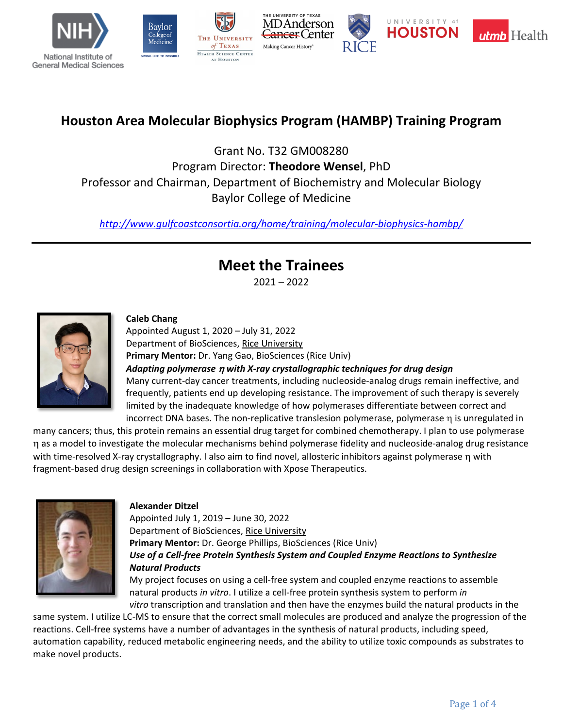









## **Houston Area Molecular Biophysics Program (HAMBP) Training Program**

Grant No. T32 GM008280 Program Director: **Theodore Wensel**, PhD Professor and Chairman, Department of Biochemistry and Molecular Biology Baylor College of Medicine

*<http://www.gulfcoastconsortia.org/home/training/molecular-biophysics-hambp/>*

# **Meet the Trainees**

2021 – 2022



## **Caleb Chang**

Appointed August 1, 2020 – July 31, 2022 Department of BioSciences, Rice University **Primary Mentor:** Dr. Yang Gao, BioSciences (Rice Univ)

*Adapting polymerase* <sup>η</sup> *with X-ray crystallographic techniques for drug design* Many current-day cancer treatments, including nucleoside-analog drugs remain ineffective, and frequently, patients end up developing resistance. The improvement of such therapy is severely limited by the inadequate knowledge of how polymerases differentiate between correct and incorrect DNA bases. The non-replicative translesion polymerase, polymerase η is unregulated in

many cancers; thus, this protein remains an essential drug target for combined chemotherapy. I plan to use polymerase η as a model to investigate the molecular mechanisms behind polymerase fidelity and nucleoside-analog drug resistance with time-resolved X-ray crystallography. I also aim to find novel, allosteric inhibitors against polymerase η with fragment-based drug design screenings in collaboration with Xpose Therapeutics.



#### **Alexander Ditzel**

Appointed July 1, 2019 – June 30, 2022 Department of BioSciences, Rice University **Primary Mentor:** Dr. George Phillips, BioSciences (Rice Univ) *Use of a Cell-free Protein Synthesis System and Coupled Enzyme Reactions to Synthesize Natural Products*

My project focuses on using a cell-free system and coupled enzyme reactions to assemble natural products *in vitro*. I utilize a cell-free protein synthesis system to perform *in vitro* transcription and translation and then have the enzymes build the natural products in the

same system. I utilize LC-MS to ensure that the correct small molecules are produced and analyze the progression of the reactions. Cell-free systems have a number of advantages in the synthesis of natural products, including speed, automation capability, reduced metabolic engineering needs, and the ability to utilize toxic compounds as substrates to make novel products.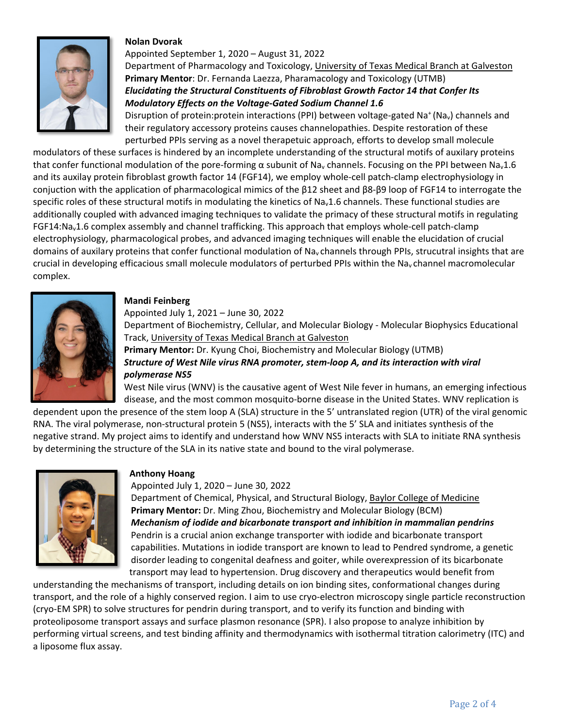## **Nolan Dvorak**



Appointed September 1, 2020 – August 31, 2022 Department of Pharmacology and Toxicology, University of Texas Medical Branch at Galveston **Primary Mentor**: Dr. Fernanda Laezza, Pharamacology and Toxicology (UTMB) *Elucidating the Structural Constituents of Fibroblast Growth Factor 14 that Confer Its Modulatory Effects on the Voltage-Gated Sodium Channel 1.6*

Disruption of protein:protein interactions (PPI) between voltage-gated Na<sup>+</sup> (Na<sub>v</sub>) channels and their regulatory accessory proteins causes channelopathies. Despite restoration of these perturbed PPIs serving as a novel therapetuic approach, efforts to develop small molecule

modulators of these surfaces is hindered by an incomplete understanding of the structural motifs of auxilary proteins that confer functional modulation of the pore-forming α subunit of Na<sub>v</sub> channels. Focusing on the PPI between Na<sub>v</sub>1.6 and its auxilay protein fibroblast growth factor 14 (FGF14), we employ whole-cell patch-clamp electrophysiology in conjuction with the application of pharmacological mimics of the β12 sheet and β8-β9 loop of FGF14 to interrogate the specific roles of these structural motifs in modulating the kinetics of Na<sub>v</sub>1.6 channels. These functional studies are additionally coupled with advanced imaging techniques to validate the primacy of these structural motifs in regulating FGF14:Nav1.6 complex assembly and channel trafficking. This approach that employs whole-cell patch-clamp electrophysiology, pharmacological probes, and advanced imaging techniques will enable the elucidation of crucial domains of auxilary proteins that confer functional modulation of Na<sub>v</sub> channels through PPIs, strucutral insights that are crucial in developing efficacious small molecule modulators of perturbed PPIs within the Na<sub>v</sub> channel macromolecular complex.



#### **Mandi Feinberg**

Appointed July 1, 2021 – June 30, 2022 Department of Biochemistry, Cellular, and Molecular Biology - Molecular Biophysics Educational Track, University of Texas Medical Branch at Galveston **Primary Mentor:** Dr. Kyung Choi, Biochemistry and Molecular Biology (UTMB) *Structure of West Nile virus RNA promoter, stem-loop A, and its interaction with viral polymerase NS5* West Nile virus (WNV) is the causative agent of West Nile fever in humans, an emerging infectious

disease, and the most common mosquito-borne disease in the United States. WNV replication is

dependent upon the presence of the stem loop A (SLA) structure in the 5' untranslated region (UTR) of the viral genomic RNA. The viral polymerase, non-structural protein 5 (NS5), interacts with the 5' SLA and initiates synthesis of the negative strand. My project aims to identify and understand how WNV NS5 interacts with SLA to initiate RNA synthesis by determining the structure of the SLA in its native state and bound to the viral polymerase.



#### **Anthony Hoang**

Appointed July 1, 2020 – June 30, 2022

Department of Chemical, Physical, and Structural Biology, Baylor College of Medicine **Primary Mentor:** Dr. Ming Zhou, Biochemistry and Molecular Biology (BCM) *Mechanism of iodide and bicarbonate transport and inhibition in mammalian pendrins* Pendrin is a crucial anion exchange transporter with iodide and bicarbonate transport capabilities. Mutations in iodide transport are known to lead to Pendred syndrome, a genetic disorder leading to congenital deafness and goiter, while overexpression of its bicarbonate transport may lead to hypertension. Drug discovery and therapeutics would benefit from

understanding the mechanisms of transport, including details on ion binding sites, conformational changes during transport, and the role of a highly conserved region. I aim to use cryo-electron microscopy single particle reconstruction (cryo-EM SPR) to solve structures for pendrin during transport, and to verify its function and binding with proteoliposome transport assays and surface plasmon resonance (SPR). I also propose to analyze inhibition by performing virtual screens, and test binding affinity and thermodynamics with isothermal titration calorimetry (ITC) and a liposome flux assay.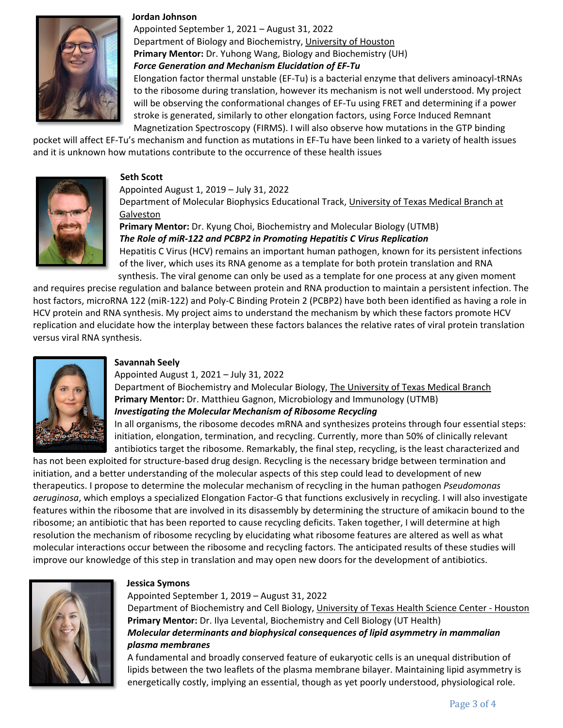

#### **Jordan Johnson**

Appointed September 1, 2021 – August 31, 2022 Department of Biology and Biochemistry, University of Houston **Primary Mentor:** Dr. Yuhong Wang, Biology and Biochemistry (UH) *Force Generation and Mechanism Elucidation of EF-Tu*

Elongation factor thermal unstable (EF-Tu) is a bacterial enzyme that delivers aminoacyl-tRNAs to the ribosome during translation, however its mechanism is not well understood. My project will be observing the conformational changes of EF-Tu using FRET and determining if a power stroke is generated, similarly to other elongation factors, using Force Induced Remnant Magnetization Spectroscopy (FIRMS). I will also observe how mutations in the GTP binding

pocket will affect EF-Tu's mechanism and function as mutations in EF-Tu have been linked to a variety of health issues and it is unknown how mutations contribute to the occurrence of these health issues



## **Seth Scott**

## Appointed August 1, 2019 – July 31, 2022

Department of Molecular Biophysics Educational Track, University of Texas Medical Branch at Galveston

## **Primary Mentor:** Dr. Kyung Choi, Biochemistry and Molecular Biology (UTMB) *The Role of miR-122 and PCBP2 in Promoting Hepatitis C Virus Replication* Hepatitis C Virus (HCV) remains an important human pathogen, known for its persistent infections

of the liver, which uses its RNA genome as a template for both protein translation and RNA synthesis. The viral genome can only be used as a template for one process at any given moment

and requires precise regulation and balance between protein and RNA production to maintain a persistent infection. The host factors, microRNA 122 (miR-122) and Poly-C Binding Protein 2 (PCBP2) have both been identified as having a role in HCV protein and RNA synthesis. My project aims to understand the mechanism by which these factors promote HCV replication and elucidate how the interplay between these factors balances the relative rates of viral protein translation versus viral RNA synthesis.



## **Savannah Seely**

Appointed August 1, 2021 – July 31, 2022

Department of Biochemistry and Molecular Biology, The University of Texas Medical Branch **Primary Mentor:** Dr. Matthieu Gagnon, Microbiology and Immunology (UTMB) *Investigating the Molecular Mechanism of Ribosome Recycling* 

In all organisms, the ribosome decodes mRNA and synthesizes proteins through four essential steps: initiation, elongation, termination, and recycling. Currently, more than 50% of clinically relevant antibiotics target the ribosome. Remarkably, the final step, recycling, is the least characterized and

has not been exploited for structure-based drug design. Recycling is the necessary bridge between termination and initiation, and a better understanding of the molecular aspects of this step could lead to development of new therapeutics. I propose to determine the molecular mechanism of recycling in the human pathogen *Pseudomonas aeruginosa*, which employs a specialized Elongation Factor-G that functions exclusively in recycling. I will also investigate features within the ribosome that are involved in its disassembly by determining the structure of amikacin bound to the ribosome; an antibiotic that has been reported to cause recycling deficits. Taken together, I will determine at high resolution the mechanism of ribosome recycling by elucidating what ribosome features are altered as well as what molecular interactions occur between the ribosome and recycling factors. The anticipated results of these studies will improve our knowledge of this step in translation and may open new doors for the development of antibiotics.



#### **Jessica Symons**

Appointed September 1, 2019 – August 31, 2022

Department of Biochemistry and Cell Biology, University of Texas Health Science Center - Houston **Primary Mentor:** Dr. Ilya Levental, Biochemistry and Cell Biology (UT Health) *Molecular determinants and biophysical consequences of lipid asymmetry in mammalian plasma membranes*

A fundamental and broadly conserved feature of eukaryotic cells is an unequal distribution of lipids between the two leaflets of the plasma membrane bilayer. Maintaining lipid asymmetry is energetically costly, implying an essential, though as yet poorly understood, physiological role.